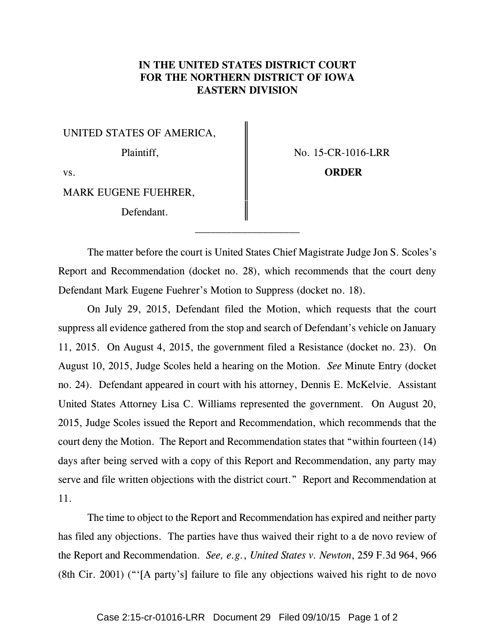# **IN THE UNITED STATES DISTRICT COURT FOR THE NORTHERN DISTRICT OF IOWA EASTERN DIVISION**

UNITED STATES OF AMERICA,

Plaintiff,  $\parallel$  No. 15-CR-1016-LRR

vs. **Conserversion CORDER** 

MARK EUGENE FUEHRER,

Defendant.

The matter before the court is United States Chief Magistrate Judge Jon S. Scoles's Report and Recommendation (docket no. 28), which recommends that the court deny Defendant Mark Eugene Fuehrer's Motion to Suppress (docket no. 18).

On July 29, 2015, Defendant filed the Motion, which requests that the court suppress all evidence gathered from the stop and search of Defendant's vehicle on January 11, 2015. On August 4, 2015, the government filed a Resistance (docket no. 23). On August 10, 2015, Judge Scoles held a hearing on the Motion. *See* Minute Entry (docket no. 24). Defendant appeared in court with his attorney, Dennis E. McKelvie. Assistant United States Attorney Lisa C. Williams represented the government. On August 20, 2015, Judge Scoles issued the Report and Recommendation, which recommends that the court deny the Motion. The Report and Recommendation states that "within fourteen (14) days after being served with a copy of this Report and Recommendation, any party may serve and file written objections with the district court." Report and Recommendation at 11.

The time to object to the Report and Recommendation has expired and neither party has filed any objections. The parties have thus waived their right to a de novo review of the Report and Recommendation. *See, e.g.*, *United States v. Newton*, 259 F.3d 964, 966 (8th Cir. 2001) ("'[A party's] failure to file any objections waived his right to de novo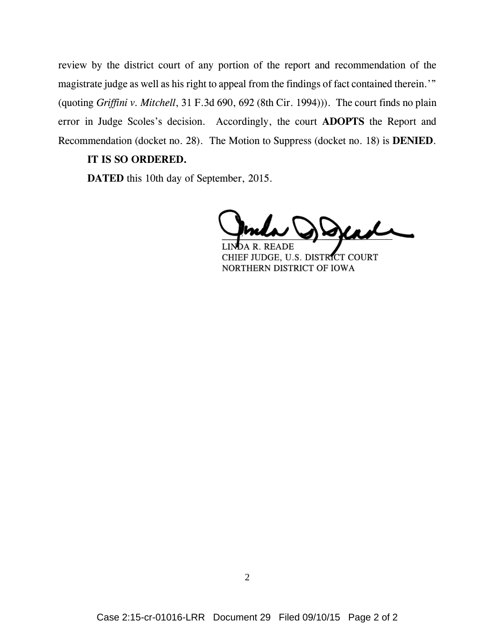review by the district court of any portion of the report and recommendation of the magistrate judge as well as his right to appeal from the findings of fact contained therein.'" (quoting *Griffini v. Mitchell*, 31 F.3d 690, 692 (8th Cir. 1994))). The court finds no plain error in Judge Scoles's decision. Accordingly, the court **ADOPTS** the Report and Recommendation (docket no. 28). The Motion to Suppress (docket no. 18) is **DENIED**.

## **IT IS SO ORDERED.**

**DATED** this 10th day of September, 2015.

dende

CHIEF JUDGE, U.S. DISTRICT COURT NORTHERN DISTRICT OF IOWA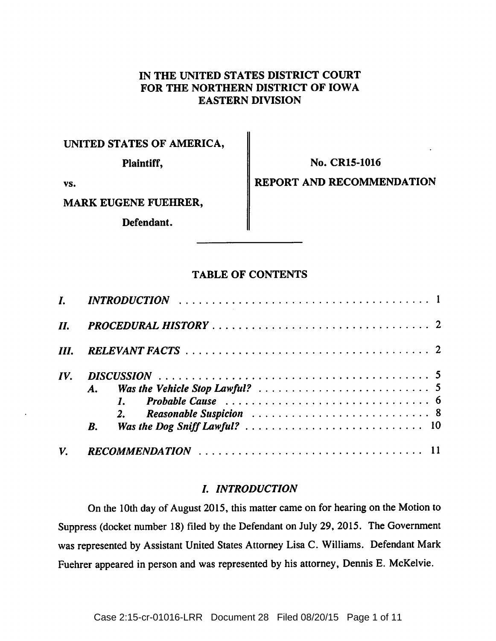# IN THE UNITED STATES DISTRICT COURT FOR THE NORTHERN DISTRICT OF IOWA **EASTERN DIVISION**

# UNITED STATES OF AMERICA,

Plaintiff,

No. CR15-1016

VS.

# MARK EUGENE FUEHRER,

Defendant.

# REPORT AND RECOMMENDATION

# **TABLE OF CONTENTS**

| II.  |    |  |
|------|----|--|
| III. |    |  |
| IV.  |    |  |
|      |    |  |
|      |    |  |
|      |    |  |
|      | B. |  |
| V.   |    |  |

# **I. INTRODUCTION**

On the 10th day of August 2015, this matter came on for hearing on the Motion to Suppress (docket number 18) filed by the Defendant on July 29, 2015. The Government was represented by Assistant United States Attorney Lisa C. Williams. Defendant Mark Fuehrer appeared in person and was represented by his attorney, Dennis E. McKelvie.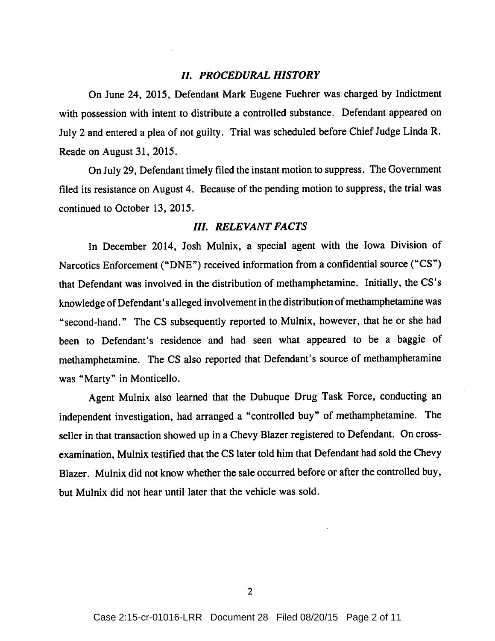### **II. PROCEDURAL HISTORY**

On June 24, 2015, Defendant Mark Eugene Fuehrer was charged by Indictment with possession with intent to distribute a controlled substance. Defendant appeared on July 2 and entered a plea of not guilty. Trial was scheduled before Chief Judge Linda R. Reade on August 31, 2015.

On July 29, Defendant timely filed the instant motion to suppress. The Government filed its resistance on August 4. Because of the pending motion to suppress, the trial was continued to October 13, 2015.

### **III. RELEVANT FACTS**

In December 2014, Josh Mulnix, a special agent with the Iowa Division of Narcotics Enforcement ("DNE") received information from a confidential source ("CS") that Defendant was involved in the distribution of methamphetamine. Initially, the CS's knowledge of Defendant's alleged involvement in the distribution of methamphetamine was "second-hand." The CS subsequently reported to Mulnix, however, that he or she had been to Defendant's residence and had seen what appeared to be a baggie of methamphetamine. The CS also reported that Defendant's source of methamphetamine was "Marty" in Monticello.

Agent Mulnix also learned that the Dubuque Drug Task Force, conducting an independent investigation, had arranged a "controlled buy" of methamphetamine. The seller in that transaction showed up in a Chevy Blazer registered to Defendant. On crossexamination, Mulnix testified that the CS later told him that Defendant had sold the Chevy Blazer. Mulnix did not know whether the sale occurred before or after the controlled buy, but Mulnix did not hear until later that the vehicle was sold.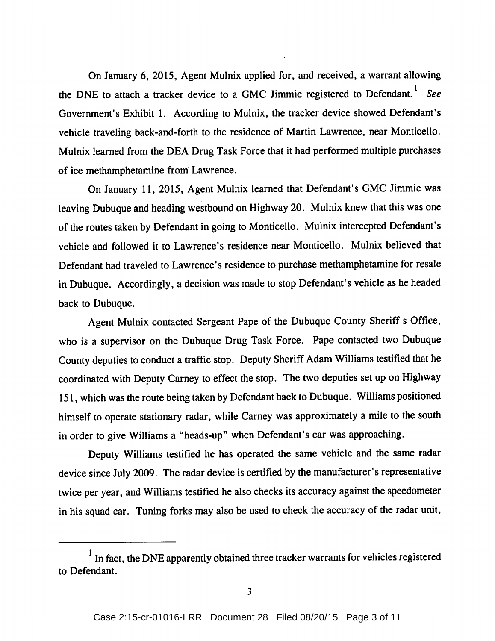On January 6, 2015, Agent Mulnix applied for, and received, a warrant allowing the DNE to attach a tracker device to a GMC Jimmie registered to Defendant.<sup>1</sup> See Government's Exhibit 1. According to Mulnix, the tracker device showed Defendant's vehicle traveling back-and-forth to the residence of Martin Lawrence, near Monticello. Mulnix learned from the DEA Drug Task Force that it had performed multiple purchases of ice methamphetamine from Lawrence.

On January 11, 2015, Agent Mulnix learned that Defendant's GMC Jimmie was leaving Dubuque and heading westbound on Highway 20. Mulnix knew that this was one of the routes taken by Defendant in going to Monticello. Mulnix intercepted Defendant's vehicle and followed it to Lawrence's residence near Monticello. Mulnix believed that Defendant had traveled to Lawrence's residence to purchase methamphetamine for resale in Dubuque. Accordingly, a decision was made to stop Defendant's vehicle as he headed back to Dubuque.

Agent Mulnix contacted Sergeant Pape of the Dubuque County Sheriff's Office, who is a supervisor on the Dubuque Drug Task Force. Pape contacted two Dubuque County deputies to conduct a traffic stop. Deputy Sheriff Adam Williams testified that he coordinated with Deputy Carney to effect the stop. The two deputies set up on Highway 151, which was the route being taken by Defendant back to Dubuque. Williams positioned himself to operate stationary radar, while Carney was approximately a mile to the south in order to give Williams a "heads-up" when Defendant's car was approaching.

Deputy Williams testified he has operated the same vehicle and the same radar device since July 2009. The radar device is certified by the manufacturer's representative twice per year, and Williams testified he also checks its accuracy against the speedometer in his squad car. Tuning forks may also be used to check the accuracy of the radar unit,

<sup>&</sup>lt;sup>1</sup> In fact, the DNE apparently obtained three tracker warrants for vehicles registered to Defendant.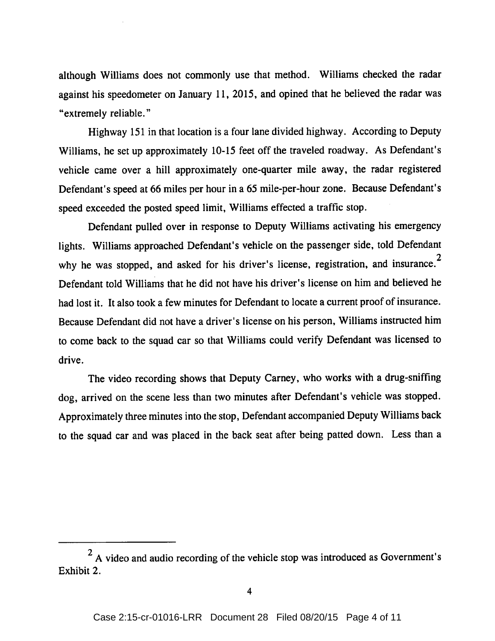although Williams does not commonly use that method. Williams checked the radar against his speedometer on January 11, 2015, and opined that he believed the radar was "extremely reliable."

Highway 151 in that location is a four lane divided highway. According to Deputy Williams, he set up approximately 10-15 feet off the traveled roadway. As Defendant's vehicle came over a hill approximately one-quarter mile away, the radar registered Defendant's speed at 66 miles per hour in a 65 mile-per-hour zone. Because Defendant's speed exceeded the posted speed limit, Williams effected a traffic stop.

Defendant pulled over in response to Deputy Williams activating his emergency lights. Williams approached Defendant's vehicle on the passenger side, told Defendant why he was stopped, and asked for his driver's license, registration, and insurance.<sup>2</sup> Defendant told Williams that he did not have his driver's license on him and believed he had lost it. It also took a few minutes for Defendant to locate a current proof of insurance. Because Defendant did not have a driver's license on his person, Williams instructed him to come back to the squad car so that Williams could verify Defendant was licensed to drive.

The video recording shows that Deputy Carney, who works with a drug-sniffing dog, arrived on the scene less than two minutes after Defendant's vehicle was stopped. Approximately three minutes into the stop, Defendant accompanied Deputy Williams back to the squad car and was placed in the back seat after being patted down. Less than a

 $2$  A video and audio recording of the vehicle stop was introduced as Government's Exhibit 2.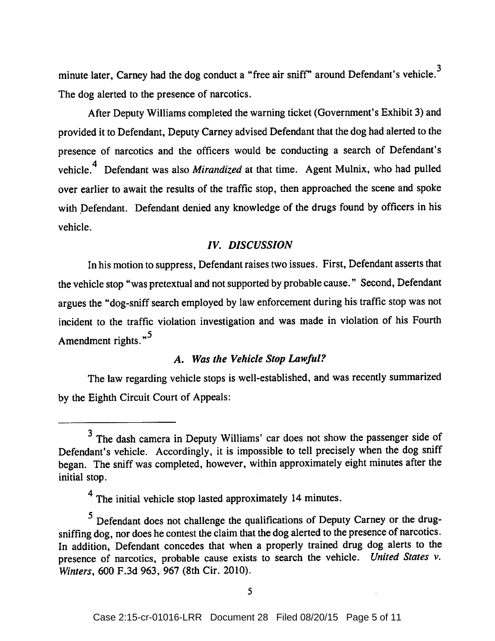minute later, Carney had the dog conduct a "free air sniff" around Defendant's vehicle.<sup>3</sup> The dog alerted to the presence of narcotics.

After Deputy Williams completed the warning ticket (Government's Exhibit 3) and provided it to Defendant, Deputy Carney advised Defendant that the dog had alerted to the presence of narcotics and the officers would be conducting a search of Defendant's vehicle.<sup>4</sup> Defendant was also *Mirandized* at that time. Agent Mulnix, who had pulled over earlier to await the results of the traffic stop, then approached the scene and spoke with Defendant. Defendant denied any knowledge of the drugs found by officers in his vehicle.

## **IV. DISCUSSION**

In his motion to suppress, Defendant raises two issues. First, Defendant asserts that the vehicle stop "was pretextual and not supported by probable cause." Second, Defendant argues the "dog-sniff search employed by law enforcement during his traffic stop was not incident to the traffic violation investigation and was made in violation of his Fourth Amendment rights."<sup>5</sup>

# A. Was the Vehicle Stop Lawful?

The law regarding vehicle stops is well-established, and was recently summarized by the Eighth Circuit Court of Appeals:

<sup>&</sup>lt;sup>3</sup> The dash camera in Deputy Williams' car does not show the passenger side of Defendant's vehicle. Accordingly, it is impossible to tell precisely when the dog sniff began. The sniff was completed, however, within approximately eight minutes after the initial stop.

<sup>&</sup>lt;sup>4</sup> The initial vehicle stop lasted approximately 14 minutes.

<sup>&</sup>lt;sup>5</sup> Defendant does not challenge the qualifications of Deputy Carney or the drugsniffing dog, nor does he contest the claim that the dog alerted to the presence of narcotics. In addition, Defendant concedes that when a properly trained drug dog alerts to the presence of narcotics, probable cause exists to search the vehicle. United States v. Winters, 600 F.3d 963, 967 (8th Cir. 2010).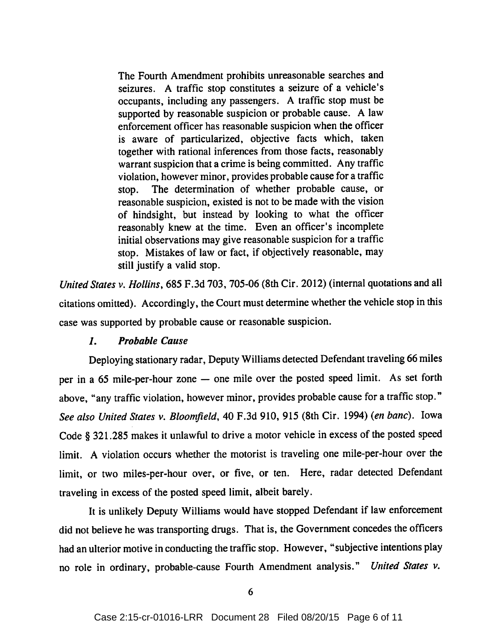The Fourth Amendment prohibits unreasonable searches and seizures. A traffic stop constitutes a seizure of a vehicle's occupants, including any passengers. A traffic stop must be supported by reasonable suspicion or probable cause. A law enforcement officer has reasonable suspicion when the officer is aware of particularized, objective facts which, taken together with rational inferences from those facts, reasonably warrant suspicion that a crime is being committed. Any traffic violation, however minor, provides probable cause for a traffic The determination of whether probable cause, or stop. reasonable suspicion, existed is not to be made with the vision of hindsight, but instead by looking to what the officer reasonably knew at the time. Even an officer's incomplete initial observations may give reasonable suspicion for a traffic stop. Mistakes of law or fact, if objectively reasonable, may still justify a valid stop.

United States v. Hollins, 685 F.3d 703, 705-06 (8th Cir. 2012) (internal quotations and all citations omitted). Accordingly, the Court must determine whether the vehicle stop in this case was supported by probable cause or reasonable suspicion.

#### $\boldsymbol{I}$ . **Probable Cause**

Deploying stationary radar, Deputy Williams detected Defendant traveling 66 miles per in a 65 mile-per-hour zone - one mile over the posted speed limit. As set forth above, "any traffic violation, however minor, provides probable cause for a traffic stop." See also United States v. Bloomfield, 40 F.3d 910, 915 (8th Cir. 1994) (en banc). Iowa Code § 321.285 makes it unlawful to drive a motor vehicle in excess of the posted speed limit. A violation occurs whether the motorist is traveling one mile-per-hour over the limit, or two miles-per-hour over, or five, or ten. Here, radar detected Defendant traveling in excess of the posted speed limit, albeit barely.

It is unlikely Deputy Williams would have stopped Defendant if law enforcement did not believe he was transporting drugs. That is, the Government concedes the officers had an ulterior motive in conducting the traffic stop. However, "subjective intentions play no role in ordinary, probable-cause Fourth Amendment analysis." United States v.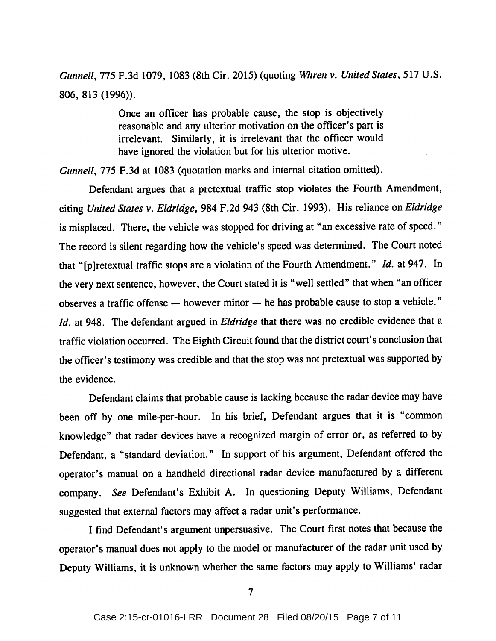Gunnell, 775 F.3d 1079, 1083 (8th Cir. 2015) (quoting Whren v. United States, 517 U.S. 806, 813 (1996)).

> Once an officer has probable cause, the stop is objectively reasonable and any ulterior motivation on the officer's part is irrelevant. Similarly, it is irrelevant that the officer would have ignored the violation but for his ulterior motive.

Gunnell, 775 F.3d at 1083 (quotation marks and internal citation omitted).

Defendant argues that a pretextual traffic stop violates the Fourth Amendment, citing United States v. Eldridge, 984 F.2d 943 (8th Cir. 1993). His reliance on Eldridge is misplaced. There, the vehicle was stopped for driving at "an excessive rate of speed." The record is silent regarding how the vehicle's speed was determined. The Court noted that "[p]retextual traffic stops are a violation of the Fourth Amendment." Id. at 947. In the very next sentence, however, the Court stated it is "well settled" that when "an officer observes a traffic offense - however minor - he has probable cause to stop a vehicle." Id. at 948. The defendant argued in Eldridge that there was no credible evidence that a traffic violation occurred. The Eighth Circuit found that the district court's conclusion that the officer's testimony was credible and that the stop was not pretextual was supported by the evidence.

Defendant claims that probable cause is lacking because the radar device may have been off by one mile-per-hour. In his brief, Defendant argues that it is "common knowledge" that radar devices have a recognized margin of error or, as referred to by Defendant, a "standard deviation." In support of his argument, Defendant offered the operator's manual on a handheld directional radar device manufactured by a different company. See Defendant's Exhibit A. In questioning Deputy Williams, Defendant suggested that external factors may affect a radar unit's performance.

I find Defendant's argument unpersuasive. The Court first notes that because the operator's manual does not apply to the model or manufacturer of the radar unit used by Deputy Williams, it is unknown whether the same factors may apply to Williams' radar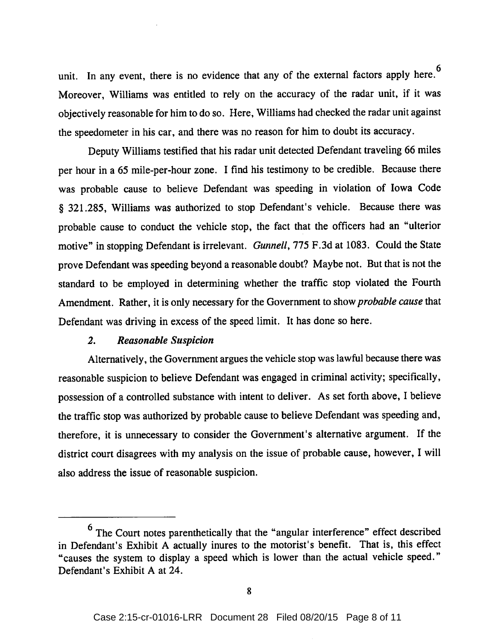unit. In any event, there is no evidence that any of the external factors apply here.<sup>6</sup> Moreover, Williams was entitled to rely on the accuracy of the radar unit, if it was objectively reasonable for him to do so. Here, Williams had checked the radar unit against the speedometer in his car, and there was no reason for him to doubt its accuracy.

Deputy Williams testified that his radar unit detected Defendant traveling 66 miles per hour in a 65 mile-per-hour zone. I find his testimony to be credible. Because there was probable cause to believe Defendant was speeding in violation of Iowa Code § 321.285, Williams was authorized to stop Defendant's vehicle. Because there was probable cause to conduct the vehicle stop, the fact that the officers had an "ulterior motive" in stopping Defendant is irrelevant. Gunnell, 775 F.3d at 1083. Could the State prove Defendant was speeding beyond a reasonable doubt? Maybe not. But that is not the standard to be employed in determining whether the traffic stop violated the Fourth Amendment. Rather, it is only necessary for the Government to show *probable cause* that Defendant was driving in excess of the speed limit. It has done so here.

#### $2.$ **Reasonable Suspicion**

Alternatively, the Government argues the vehicle stop was lawful because there was reasonable suspicion to believe Defendant was engaged in criminal activity; specifically, possession of a controlled substance with intent to deliver. As set forth above, I believe the traffic stop was authorized by probable cause to believe Defendant was speeding and, therefore, it is unnecessary to consider the Government's alternative argument. If the district court disagrees with my analysis on the issue of probable cause, however, I will also address the issue of reasonable suspicion.

 $6$  The Court notes parenthetically that the "angular interference" effect described in Defendant's Exhibit A actually inures to the motorist's benefit. That is, this effect "causes the system to display a speed which is lower than the actual vehicle speed." Defendant's Exhibit A at 24.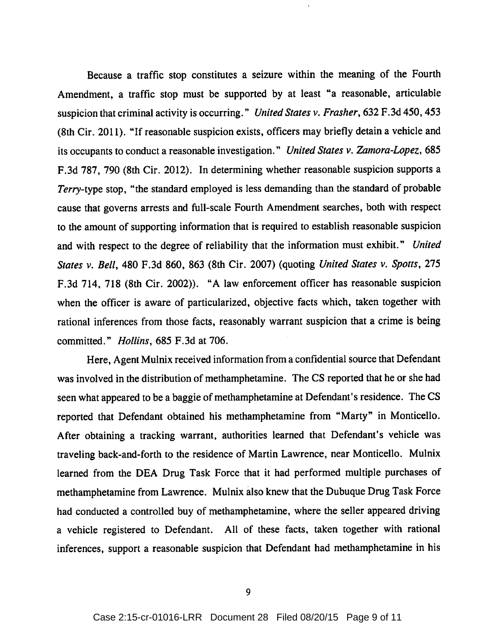Because a traffic stop constitutes a seizure within the meaning of the Fourth Amendment, a traffic stop must be supported by at least "a reasonable, articulable suspicion that criminal activity is occurring." United States v. Frasher, 632 F.3d 450, 453 (8th Cir. 2011). "If reasonable suspicion exists, officers may briefly detain a vehicle and its occupants to conduct a reasonable investigation." United States v. Zamora-Lopez, 685 F.3d 787, 790 (8th Cir. 2012). In determining whether reasonable suspicion supports a Terry-type stop, "the standard employed is less demanding than the standard of probable cause that governs arrests and full-scale Fourth Amendment searches, both with respect to the amount of supporting information that is required to establish reasonable suspicion and with respect to the degree of reliability that the information must exhibit." United States v. Bell, 480 F.3d 860, 863 (8th Cir. 2007) (quoting United States v. Spotts, 275 F.3d 714, 718 (8th Cir. 2002)). "A law enforcement officer has reasonable suspicion when the officer is aware of particularized, objective facts which, taken together with rational inferences from those facts, reasonably warrant suspicion that a crime is being committed." *Hollins*, 685 F.3d at 706.

Here, Agent Mulnix received information from a confidential source that Defendant was involved in the distribution of methamphetamine. The CS reported that he or she had seen what appeared to be a baggie of methamphetamine at Defendant's residence. The CS reported that Defendant obtained his methamphetamine from "Marty" in Monticello. After obtaining a tracking warrant, authorities learned that Defendant's vehicle was traveling back-and-forth to the residence of Martin Lawrence, near Monticello. Mulnix learned from the DEA Drug Task Force that it had performed multiple purchases of methamphetamine from Lawrence. Mulnix also knew that the Dubuque Drug Task Force had conducted a controlled buy of methamphetamine, where the seller appeared driving a vehicle registered to Defendant. All of these facts, taken together with rational inferences, support a reasonable suspicion that Defendant had methamphetamine in his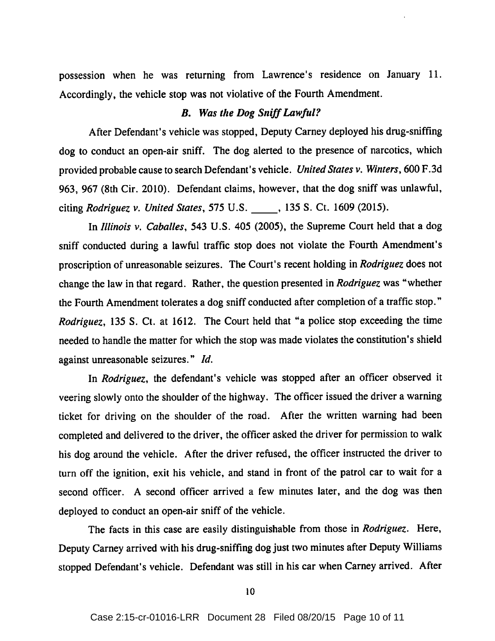possession when he was returning from Lawrence's residence on January 11. Accordingly, the vehicle stop was not violative of the Fourth Amendment.

### **B.** Was the Dog Sniff Lawful?

After Defendant's vehicle was stopped, Deputy Carney deployed his drug-sniffing dog to conduct an open-air sniff. The dog alerted to the presence of narcotics, which provided probable cause to search Defendant's vehicle. United States v. Winters, 600 F.3d 963, 967 (8th Cir. 2010). Defendant claims, however, that the dog sniff was unlawful, citing Rodriguez v. United States, 575 U.S. , 135 S. Ct. 1609 (2015).

In Illinois v. Caballes, 543 U.S. 405 (2005), the Supreme Court held that a dog sniff conducted during a lawful traffic stop does not violate the Fourth Amendment's proscription of unreasonable seizures. The Court's recent holding in Rodriguez does not change the law in that regard. Rather, the question presented in Rodriguez was "whether the Fourth Amendment tolerates a dog sniff conducted after completion of a traffic stop." *Rodriguez*, 135 S. Ct. at 1612. The Court held that "a police stop exceeding the time needed to handle the matter for which the stop was made violates the constitution's shield against unreasonable seizures." Id.

In Rodriguez, the defendant's vehicle was stopped after an officer observed it veering slowly onto the shoulder of the highway. The officer issued the driver a warning ticket for driving on the shoulder of the road. After the written warning had been completed and delivered to the driver, the officer asked the driver for permission to walk his dog around the vehicle. After the driver refused, the officer instructed the driver to turn off the ignition, exit his vehicle, and stand in front of the patrol car to wait for a second officer. A second officer arrived a few minutes later, and the dog was then deployed to conduct an open-air sniff of the vehicle.

The facts in this case are easily distinguishable from those in Rodriguez. Here, Deputy Carney arrived with his drug-sniffing dog just two minutes after Deputy Williams stopped Defendant's vehicle. Defendant was still in his car when Carney arrived. After